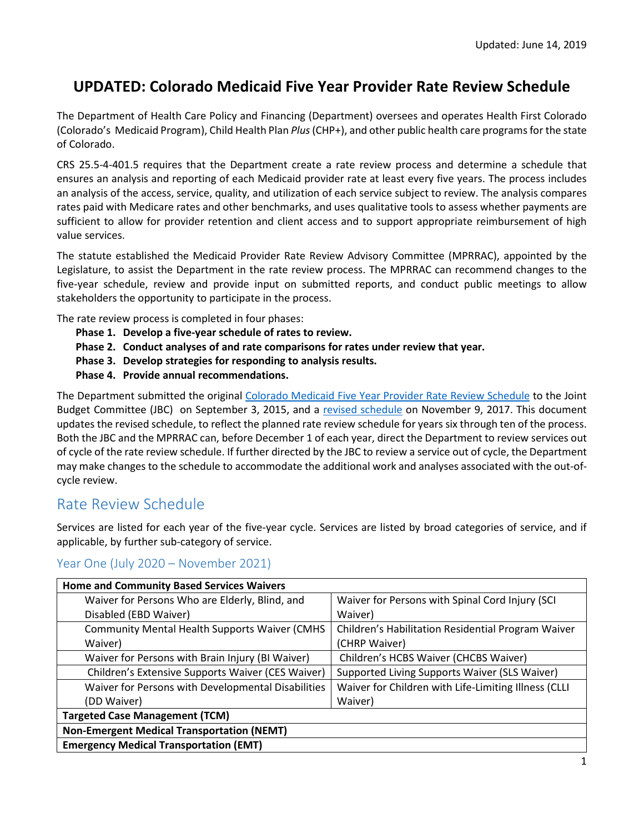# **UPDATED: Colorado Medicaid Five Year Provider Rate Review Schedule**

The Department of Health Care Policy and Financing (Department) oversees and operates Health First Colorado (Colorado's Medicaid Program), Child Health Plan *Plus*(CHP+), and other public health care programs for the state of Colorado.

CRS 25.5-4-401.5 requires that the Department create a rate review process and determine a schedule that ensures an analysis and reporting of each Medicaid provider rate at least every five years. The process includes an analysis of the access, service, quality, and utilization of each service subject to review. The analysis compares rates paid with Medicare rates and other benchmarks, and uses qualitative tools to assess whether payments are sufficient to allow for provider retention and client access and to support appropriate reimbursement of high value services.

The statute established the Medicaid Provider Rate Review Advisory Committee (MPRRAC), appointed by the Legislature, to assist the Department in the rate review process. The MPRRAC can recommend changes to the five-year schedule, review and provide input on submitted reports, and conduct public meetings to allow stakeholders the opportunity to participate in the process.

The rate review process is completed in four phases:

- **Phase 1. Develop a five-year schedule of rates to review.**
- **Phase 2. Conduct analyses of and rate comparisons for rates under review that year.**
- **Phase 3. Develop strategies for responding to analysis results.**
- **Phase 4. Provide annual recommendations.**

The Department submitted the original [Colorado Medicaid Five Year Provider Rate Review Schedule](https://www.colorado.gov/pacific/sites/default/files/Medicaid%20Provider%20Rate%20Review%20Schedule%20October%202015.pdf) to the Joint Budget Committee (JBC) on September 3, 2015, and a [revised schedule](https://www.colorado.gov/pacific/sites/default/files/Updated%20Five-Year%20Schedule.pdf) on November 9, 2017. This document updates the revised schedule, to reflect the planned rate review schedule for years six through ten of the process. Both the JBC and the MPRRAC can, before December 1 of each year, direct the Department to review services out of cycle of the rate review schedule. If further directed by the JBC to review a service out of cycle, the Department may make changes to the schedule to accommodate the additional work and analyses associated with the out-ofcycle review.

# Rate Review Schedule

Services are listed for each year of the five-year cycle. Services are listed by broad categories of service, and if applicable, by further sub-category of service.

### Year One (July 2020 – November 2021)

| <b>Home and Community Based Services Waivers</b>      |                                                      |  |
|-------------------------------------------------------|------------------------------------------------------|--|
| Waiver for Persons Who are Elderly, Blind, and        | Waiver for Persons with Spinal Cord Injury (SCI      |  |
| Disabled (EBD Waiver)                                 | Waiver)                                              |  |
| <b>Community Mental Health Supports Waiver (CMHS)</b> | Children's Habilitation Residential Program Waiver   |  |
| Waiver)                                               | (CHRP Waiver)                                        |  |
| Waiver for Persons with Brain Injury (BI Waiver)      | Children's HCBS Waiver (CHCBS Waiver)                |  |
| Children's Extensive Supports Waiver (CES Waiver)     | Supported Living Supports Waiver (SLS Waiver)        |  |
| Waiver for Persons with Developmental Disabilities    | Waiver for Children with Life-Limiting Illness (CLLI |  |
| (DD Waiver)                                           | Waiver)                                              |  |
| <b>Targeted Case Management (TCM)</b>                 |                                                      |  |
| <b>Non-Emergent Medical Transportation (NEMT)</b>     |                                                      |  |
| <b>Emergency Medical Transportation (EMT)</b>         |                                                      |  |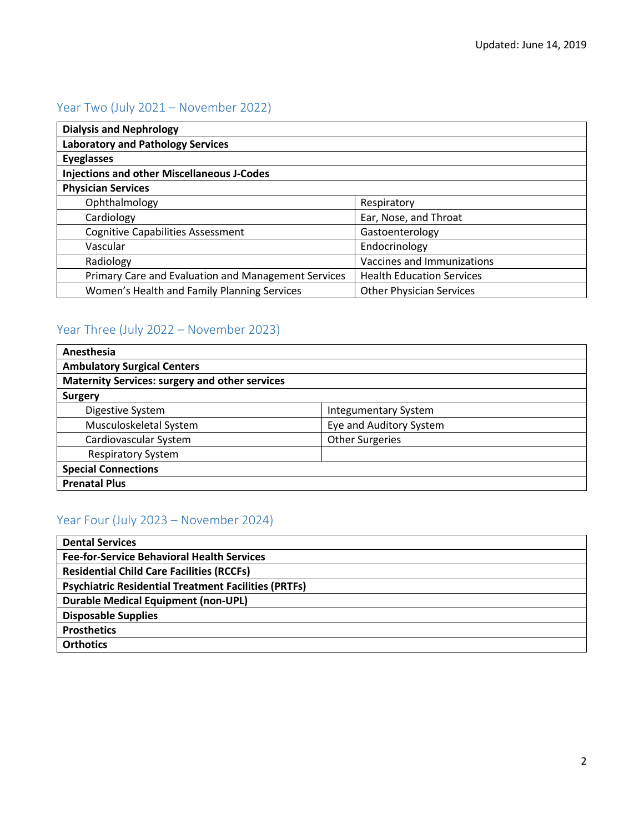# Year Two (July 2021 – November 2022)

| <b>Dialysis and Nephrology</b>                      |                                  |
|-----------------------------------------------------|----------------------------------|
| <b>Laboratory and Pathology Services</b>            |                                  |
| <b>Eyeglasses</b>                                   |                                  |
| <b>Injections and other Miscellaneous J-Codes</b>   |                                  |
| <b>Physician Services</b>                           |                                  |
| Ophthalmology                                       | Respiratory                      |
| Cardiology                                          | Ear, Nose, and Throat            |
| <b>Cognitive Capabilities Assessment</b>            | Gastoenterology                  |
| Vascular                                            | Endocrinology                    |
| Radiology                                           | Vaccines and Immunizations       |
| Primary Care and Evaluation and Management Services | <b>Health Education Services</b> |
| Women's Health and Family Planning Services         | <b>Other Physician Services</b>  |

## Year Three (July 2022 – November 2023)

| Anesthesia                                            |                             |  |
|-------------------------------------------------------|-----------------------------|--|
| <b>Ambulatory Surgical Centers</b>                    |                             |  |
| <b>Maternity Services: surgery and other services</b> |                             |  |
| <b>Surgery</b>                                        |                             |  |
| Digestive System                                      | <b>Integumentary System</b> |  |
| Musculoskeletal System                                | Eye and Auditory System     |  |
| Cardiovascular System                                 | <b>Other Surgeries</b>      |  |
| <b>Respiratory System</b>                             |                             |  |
| <b>Special Connections</b>                            |                             |  |
| <b>Prenatal Plus</b>                                  |                             |  |

# Year Four (July 2023 – November 2024)

| <b>Dental Services</b>                                      |
|-------------------------------------------------------------|
| <b>Fee-for-Service Behavioral Health Services</b>           |
| <b>Residential Child Care Facilities (RCCFs)</b>            |
| <b>Psychiatric Residential Treatment Facilities (PRTFs)</b> |
| Durable Medical Equipment (non-UPL)                         |
| <b>Disposable Supplies</b>                                  |
| <b>Prosthetics</b>                                          |
| <b>Orthotics</b>                                            |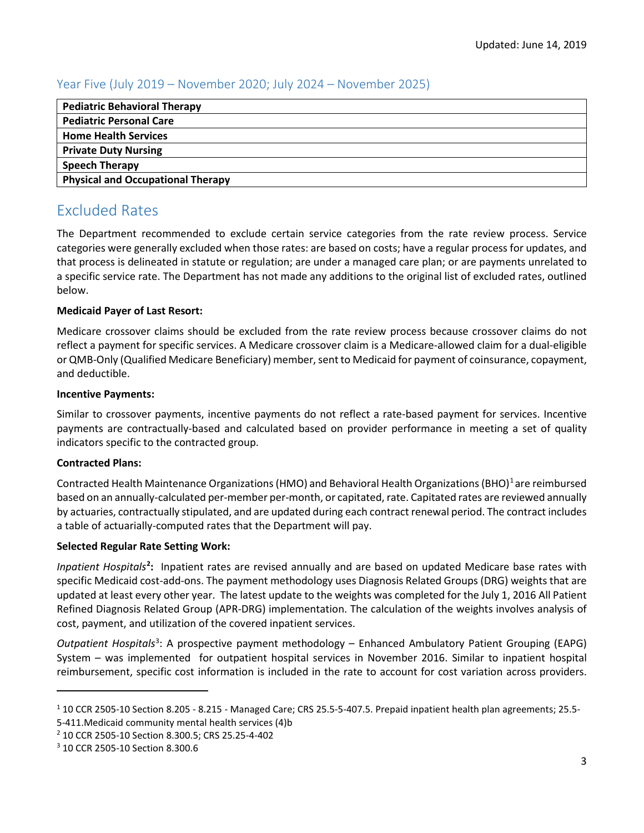### Year Five (July 2019 – November 2020; July 2024 – November 2025)

| <b>Pediatric Behavioral Therapy</b>      |
|------------------------------------------|
| <b>Pediatric Personal Care</b>           |
| <b>Home Health Services</b>              |
| <b>Private Duty Nursing</b>              |
| <b>Speech Therapy</b>                    |
| <b>Physical and Occupational Therapy</b> |

# Excluded Rates

The Department recommended to exclude certain service categories from the rate review process. Service categories were generally excluded when those rates: are based on costs; have a regular process for updates, and that process is delineated in statute or regulation; are under a managed care plan; or are payments unrelated to a specific service rate. The Department has not made any additions to the original list of excluded rates, outlined below.

#### **Medicaid Payer of Last Resort:**

Medicare crossover claims should be excluded from the rate review process because crossover claims do not reflect a payment for specific services. A Medicare crossover claim is a Medicare-allowed claim for a dual-eligible or QMB-Only (Qualified Medicare Beneficiary) member, sent to Medicaid for payment of coinsurance, copayment, and deductible.

#### **Incentive Payments:**

Similar to crossover payments, incentive payments do not reflect a rate-based payment for services. Incentive payments are contractually-based and calculated based on provider performance in meeting a set of quality indicators specific to the contracted group.

### **Contracted Plans:**

Contracted Health Maintenance Organizations (HMO) and Behavioral Health Organizations (BHO)<sup>[1](#page-2-0)</sup> are reimbursed based on an annually-calculated per-member per-month, or capitated,rate. Capitated rates are reviewed annually by actuaries, contractually stipulated, and are updated during each contract renewal period. The contract includes a table of actuarially-computed rates that the Department will pay.

### **Selected Regular Rate Setting Work:**

Inpatient Hospitals<sup>[2](#page-2-1)</sup>: Inpatient rates are revised annually and are based on updated Medicare base rates with specific Medicaid cost-add-ons. The payment methodology uses Diagnosis Related Groups (DRG) weights that are updated at least every other year. The latest update to the weights was completed for the July 1, 2016 All Patient Refined Diagnosis Related Group (APR-DRG) implementation. The calculation of the weights involves analysis of cost, payment, and utilization of the covered inpatient services.

Outpatient Hospitals<sup>[3](#page-2-2)</sup>: A prospective payment methodology – Enhanced Ambulatory Patient Grouping (EAPG) System – was implemented for outpatient hospital services in November 2016. Similar to inpatient hospital reimbursement, specific cost information is included in the rate to account for cost variation across providers.

<span id="page-2-1"></span><sup>2</sup> 10 CCR 2505-10 Section 8.300.5; CRS 25.25-4-402

 $\overline{a}$ 

<span id="page-2-0"></span><sup>1</sup> 10 CCR 2505-10 Section 8.205 - 8.215 - Managed Care; CRS 25.5-5-407.5. Prepaid inpatient health plan agreements; 25.5- 5-411.Medicaid community mental health services (4)b

<span id="page-2-2"></span><sup>3</sup> 10 CCR 2505-10 Section 8.300.6